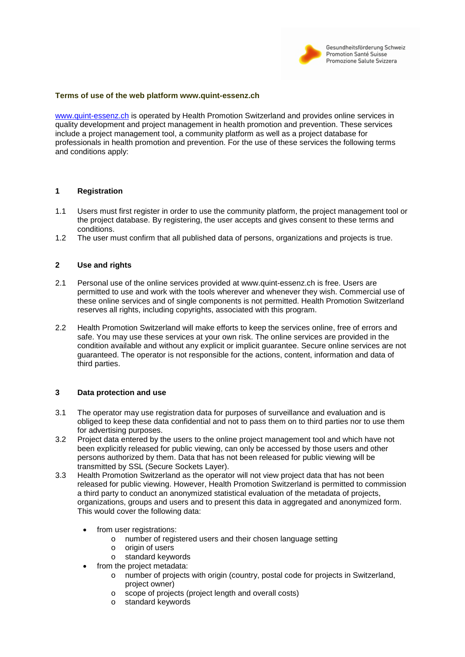

#### **Terms of use of the web platform www.quint-essenz.ch**

[www.quint-essenz.ch](http://www.quint-essenz.ch/) is operated by Health Promotion Switzerland and provides online services in quality development and project management in health promotion and prevention. These services include a project management tool, a community platform as well as a project database for professionals in health promotion and prevention. For the use of these services the following terms and conditions apply:

#### **1 Registration**

- 1.1 Users must first register in order to use the community platform, the project management tool or the project database. By registering, the user accepts and gives consent to these terms and conditions.
- 1.2 The user must confirm that all published data of persons, organizations and projects is true.

## **2 Use and rights**

- 2.1 Personal use of the online services provided at www.quint-essenz.ch is free. Users are permitted to use and work with the tools wherever and whenever they wish. Commercial use of these online services and of single components is not permitted. Health Promotion Switzerland reserves all rights, including copyrights, associated with this program.
- 2.2 Health Promotion Switzerland will make efforts to keep the services online, free of errors and safe. You may use these services at your own risk. The online services are provided in the condition available and without any explicit or implicit guarantee. Secure online services are not guaranteed. The operator is not responsible for the actions, content, information and data of third parties.

#### **3 Data protection and use**

- 3.1 The operator may use registration data for purposes of surveillance and evaluation and is obliged to keep these data confidential and not to pass them on to third parties nor to use them for advertising purposes.
- 3.2 Project data entered by the users to the online project management tool and which have not been explicitly released for public viewing, can only be accessed by those users and other persons authorized by them. Data that has not been released for public viewing will be transmitted by SSL (Secure Sockets Layer).
- 3.3 Health Promotion Switzerland as the operator will not view project data that has not been released for public viewing. However, Health Promotion Switzerland is permitted to commission a third party to conduct an anonymized statistical evaluation of the metadata of projects, organizations, groups and users and to present this data in aggregated and anonymized form. This would cover the following data:
	- from user registrations:
		- o number of registered users and their chosen language setting
		- o origin of users
		- o standard keywords
	- from the project metadata:
		- o number of projects with origin (country, postal code for projects in Switzerland, project owner)
		- o scope of projects (project length and overall costs)
		- o standard keywords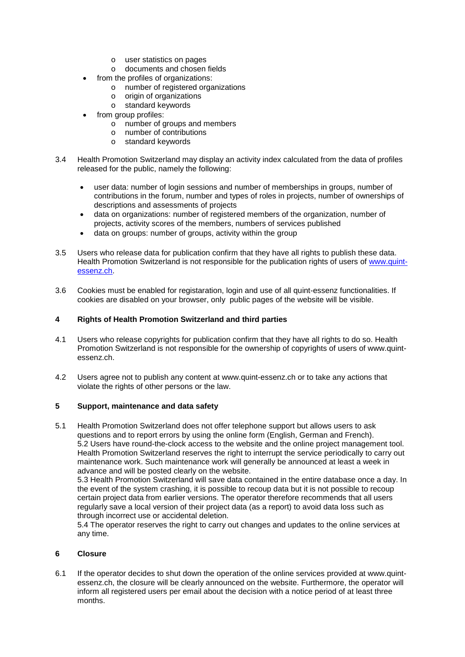- o user statistics on pages
- o documents and chosen fields
- from the profiles of organizations:
	- o number of registered organizations
	- o origin of organizations
	- o standard keywords
- from group profiles:
	- o number of groups and members
	- o number of contributions
	- o standard keywords
- 3.4 Health Promotion Switzerland may display an activity index calculated from the data of profiles released for the public, namely the following:
	- user data: number of login sessions and number of memberships in groups, number of contributions in the forum, number and types of roles in projects, number of ownerships of descriptions and assessments of projects
	- data on organizations: number of registered members of the organization, number of projects, activity scores of the members, numbers of services published
	- data on groups: number of groups, activity within the group
- 3.5 Users who release data for publication confirm that they have all rights to publish these data. Health Promotion Switzerland is not responsible for the publication rights of users of [www.quint](http://www.quint-essenz.ch/)[essenz.ch.](http://www.quint-essenz.ch/)
- 3.6 Cookies must be enabled for registaration, login and use of all quint-essenz functionalities. If cookies are disabled on your browser, only public pages of the website will be visible.

# **4 Rights of Health Promotion Switzerland and third parties**

- 4.1 Users who release copyrights for publication confirm that they have all rights to do so. Health Promotion Switzerland is not responsible for the ownership of copyrights of users of www.quintessenz.ch.
- 4.2 Users agree not to publish any content at www.quint-essenz.ch or to take any actions that violate the rights of other persons or the law.

## **5 Support, maintenance and data safety**

5.1 Health Promotion Switzerland does not offer telephone support but allows users to ask questions and to report errors by using the online form (English, German and French). 5.2 Users have round-the-clock access to the website and the online project management tool. Health Promotion Switzerland reserves the right to interrupt the service periodically to carry out maintenance work. Such maintenance work will generally be announced at least a week in advance and will be posted clearly on the website.

5.3 Health Promotion Switzerland will save data contained in the entire database once a day. In the event of the system crashing, it is possible to recoup data but it is not possible to recoup certain project data from earlier versions. The operator therefore recommends that all users regularly save a local version of their project data (as a report) to avoid data loss such as through incorrect use or accidental deletion.

5.4 The operator reserves the right to carry out changes and updates to the online services at any time.

## **6 Closure**

6.1 If the operator decides to shut down the operation of the online services provided at www.quintessenz.ch, the closure will be clearly announced on the website. Furthermore, the operator will inform all registered users per email about the decision with a notice period of at least three months.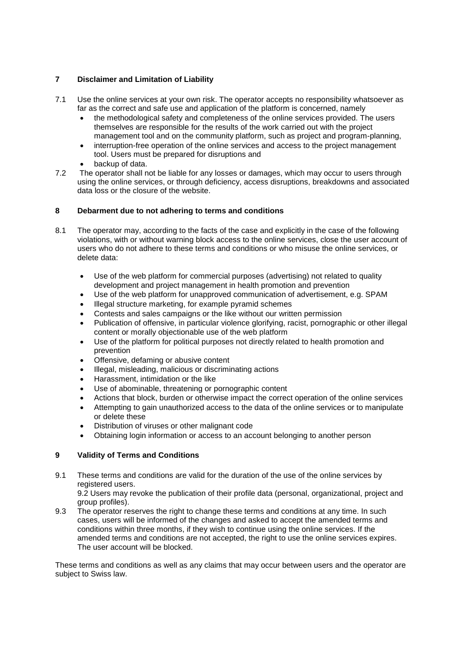# **7 Disclaimer and Limitation of Liability**

- 7.1 Use the online services at your own risk. The operator accepts no responsibility whatsoever as far as the correct and safe use and application of the platform is concerned, namely
	- the methodological safety and completeness of the online services provided. The users themselves are responsible for the results of the work carried out with the project management tool and on the community platform, such as project and program-planning,
	- interruption-free operation of the online services and access to the project management tool. Users must be prepared for disruptions and
	- backup of data.
- 7.2 The operator shall not be liable for any losses or damages, which may occur to users through using the online services, or through deficiency, access disruptions, breakdowns and associated data loss or the closure of the website.

## **8 Debarment due to not adhering to terms and conditions**

- 8.1 The operator may, according to the facts of the case and explicitly in the case of the following violations, with or without warning block access to the online services, close the user account of users who do not adhere to these terms and conditions or who misuse the online services, or delete data:
	- Use of the web platform for commercial purposes (advertising) not related to quality development and project management in health promotion and prevention
	- Use of the web platform for unapproved communication of advertisement, e.g. SPAM
	- Illegal structure marketing, for example pyramid schemes
	- Contests and sales campaigns or the like without our written permission
	- Publication of offensive, in particular violence glorifying, racist, pornographic or other illegal content or morally objectionable use of the web platform
	- Use of the platform for political purposes not directly related to health promotion and prevention
	- Offensive, defaming or abusive content
	- Illegal, misleading, malicious or discriminating actions
	- Harassment, intimidation or the like
	- Use of abominable, threatening or pornographic content
	- Actions that block, burden or otherwise impact the correct operation of the online services
	- Attempting to gain unauthorized access to the data of the online services or to manipulate or delete these
	- Distribution of viruses or other malignant code
	- Obtaining login information or access to an account belonging to another person

## **9 Validity of Terms and Conditions**

9.1 These terms and conditions are valid for the duration of the use of the online services by registered users.

9.2 Users may revoke the publication of their profile data (personal, organizational, project and group profiles).

9.3 The operator reserves the right to change these terms and conditions at any time. In such cases, users will be informed of the changes and asked to accept the amended terms and conditions within three months, if they wish to continue using the online services. If the amended terms and conditions are not accepted, the right to use the online services expires. The user account will be blocked.

These terms and conditions as well as any claims that may occur between users and the operator are subject to Swiss law.